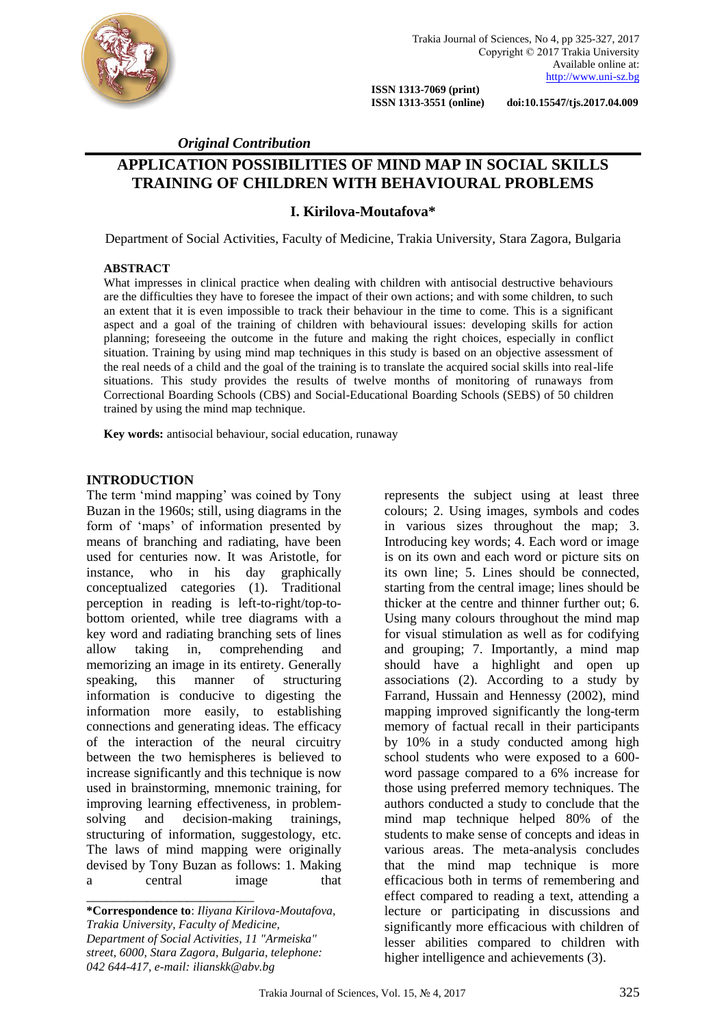

 **ISSN 1313-7069 (print)** 

 **ISSN 1313-3551 (online) doi:10.15547/tjs.2017.04.009**

### *Original Contribution*

# **APPLICATION POSSIBILITIES OF MIND MAP IN SOCIAL SKILLS TRAINING OF CHILDREN WITH BEHAVIOURAL PROBLEMS**

## **I. Kirilova-Moutafova\***

Department of Social Activities, Faculty of Medicine, Trakia University, Stara Zagora, Bulgaria

### **ABSTRACT**

What impresses in clinical practice when dealing with children with antisocial destructive behaviours are the difficulties they have to foresee the impact of their own actions; and with some children, to such an extent that it is even impossible to track their behaviour in the time to come. This is a significant aspect and a goal of the training of children with behavioural issues: developing skills for action planning; foreseeing the outcome in the future and making the right choices, especially in conflict situation. Training by using mind map techniques in this study is based on an objective assessment of the real needs of a child and the goal of the training is to translate the acquired social skills into real-life situations. This study provides the results of twelve months of monitoring of runaways from Correctional Boarding Schools (CBS) and Social-Educational Boarding Schools (SEBS) of 50 children trained by using the mind map technique.

**Key words:** antisocial behaviour, social education, runaway

### **INTRODUCTION**

The term 'mind mapping' was coined by Tony Buzan in the 1960s; still, using diagrams in the form of 'maps' of information presented by means of branching and radiating, have been used for centuries now. It was Aristotle, for instance, who in his day graphically conceptualized categories (1). Traditional perception in reading is left-to-right/top-tobottom oriented, while tree diagrams with a key word and radiating branching sets of lines allow taking in, comprehending and memorizing an image in its entirety. Generally speaking, this manner of structuring information is conducive to digesting the information more easily, to establishing connections and generating ideas. The efficacy of the interaction of the neural circuitry between the two hemispheres is believed to increase significantly and this technique is now used in brainstorming, mnemonic training, for improving learning effectiveness, in problemsolving and decision-making trainings, structuring of information, suggestology, etc. The laws of mind mapping were originally devised by Tony Buzan as follows: 1. Making a central image that \_\_\_\_\_\_\_\_\_\_\_\_\_\_\_\_\_\_\_\_\_\_\_\_\_

represents the subject using at least three colours; 2. Using images, symbols and codes in various sizes throughout the map; 3. Introducing key words; 4. Each word or image is on its own and each word or picture sits on its own line; 5. Lines should be connected, starting from the central image; lines should be thicker at the centre and thinner further out; 6. Using many colours throughout the mind map for visual stimulation as well as for codifying and grouping; 7. Importantly, a mind map should have a highlight and open up associations (2). According to a study by Farrand, Hussain and Hennessy (2002), mind mapping improved significantly the long-term memory of factual recall in their participants by 10% in a study conducted among high school students who were exposed to a 600 word passage compared to a 6% increase for those using preferred memory techniques. The authors conducted a study to conclude that the mind map technique helped 80% of the students to make sense of concepts and ideas in various areas. The meta-analysis concludes that the mind map technique is more efficacious both in terms of remembering and effect compared to reading a text, attending a lecture or participating in discussions and significantly more efficacious with children of lesser abilities compared to children with higher intelligence and achievements (3).

**<sup>\*</sup>Correspondence to**: *Iliyana Kirilova-Moutafova, Trakia University, Faculty of Medicine, Department of Social Activities, [11 "Armeiska"](https://www.google.bg/url?sa=t&rct=j&q=&esrc=s&source=web&cd=1&cad=rja&uact=8&ved=0ahUKEwial4HahLXRAhVHkSwKHQyxAIYQFggcMAA&url=http%3A%2F%2Flinkedct.org%2Fresource%2Faddress%2Fstara-zagora-11-armeiska-street-6000-bulgaria%2F&usg=AFQjCNH4sHS5vSeoE7X5xYH15x8h7HqejA)  [street, 6000,](https://www.google.bg/url?sa=t&rct=j&q=&esrc=s&source=web&cd=1&cad=rja&uact=8&ved=0ahUKEwial4HahLXRAhVHkSwKHQyxAIYQFggcMAA&url=http%3A%2F%2Flinkedct.org%2Fresource%2Faddress%2Fstara-zagora-11-armeiska-street-6000-bulgaria%2F&usg=AFQjCNH4sHS5vSeoE7X5xYH15x8h7HqejA) Stara Zagora, Bulgaria, telephone: 042 644-417, e-mail: ilianskk@abv.bg*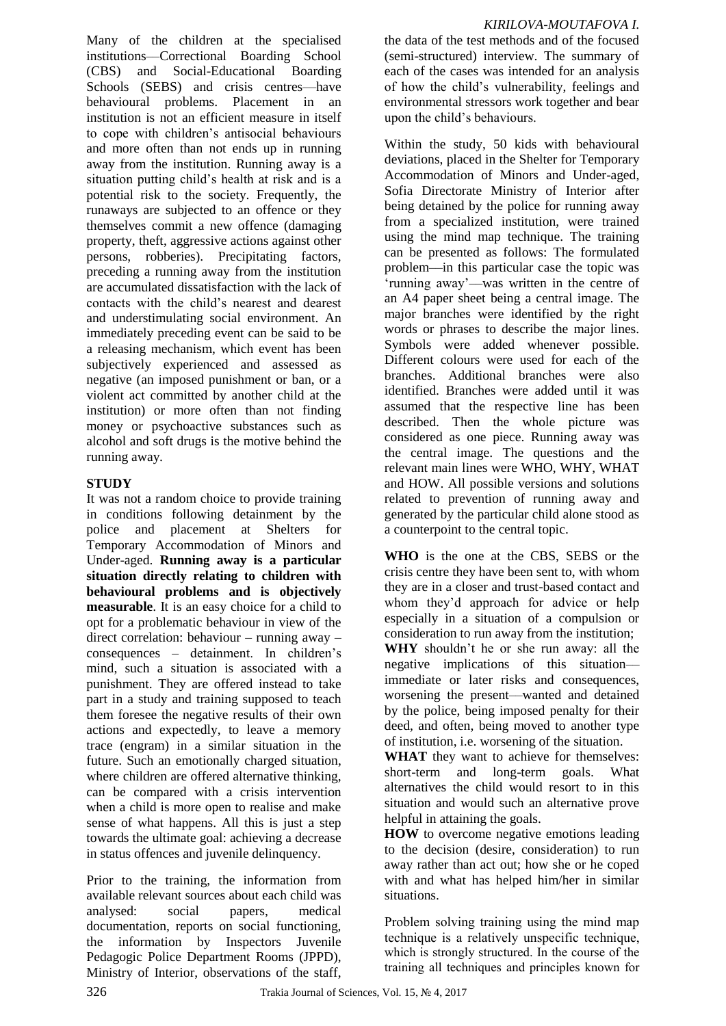*KIRILOVA-MOUTAFOVA I.*

Many of the children at the specialised institutions––Correctional Boarding School (CBS) and Social-Educational Boarding Schools (SEBS) and crisis centres—have behavioural problems. Placement in an institution is not an efficient measure in itself to cope with children's antisocial behaviours and more often than not ends up in running away from the institution. Running away is a situation putting child's health at risk and is a potential risk to the society. Frequently, the runaways are subjected to an offence or they themselves commit a new offence (damaging property, theft, aggressive actions against other persons, robberies). Precipitating factors, preceding a running away from the institution are accumulated dissatisfaction with the lack of contacts with the child's nearest and dearest and understimulating social environment. An immediately preceding event can be said to be a releasing mechanism, which event has been subjectively experienced and assessed as negative (an imposed punishment or ban, or a violent act committed by another child at the institution) or more often than not finding money or psychoactive substances such as alcohol and soft drugs is the motive behind the running away*.*

# **STUDY**

It was not a random choice to provide training in conditions following detainment by the police and placement at Shelters for Temporary Accommodation of Minors and Under-aged. **Running away is a particular situation directly relating to children with behavioural problems and is objectively measurable**. It is an easy choice for a child to opt for a problematic behaviour in view of the direct correlation: behaviour – running away – consequences – detainment. In children's mind, such a situation is associated with a punishment. They are offered instead to take part in a study and training supposed to teach them foresee the negative results of their own actions and expectedly, to leave a memory trace (engram) in a similar situation in the future. Such an emotionally charged situation, where children are offered alternative thinking, can be compared with a crisis intervention when a child is more open to realise and make sense of what happens. All this is just a step towards the ultimate goal: achieving a decrease in status offences and juvenile delinquency.

Prior to the training, the information from available relevant sources about each child was analysed: social papers, medical documentation, reports on social functioning, the information by Inspectors Juvenile Pedagogic Police Department Rooms (JPPD), Ministry of Interior, observations of the staff, the data of the test methods and of the focused (semi-structured) interview. The summary of each of the cases was intended for an analysis of how the child's vulnerability, feelings and environmental stressors work together and bear upon the child's behaviours.

Within the study, 50 kids with behavioural deviations, placed in the Shelter for Temporary Accommodation of Minors and Under-aged, Sofia Directorate Ministry of Interior after being detained by the police for running away from a specialized institution, were trained using the mind map technique. The training can be presented as follows: The formulated problem––in this particular case the topic was 'running away'––was written in the centre of an A4 paper sheet being a central image. The major branches were identified by the right words or phrases to describe the major lines. Symbols were added whenever possible. Different colours were used for each of the branches. Additional branches were also identified. Branches were added until it was assumed that the respective line has been described. Then the whole picture was considered as one piece. Running away was the central image. The questions and the relevant main lines were WHO, WHY, WHAT and HOW. All possible versions and solutions related to prevention of running away and generated by the particular child alone stood as a counterpoint to the central topic.

**WHO** is the one at the CBS, SEBS or the crisis centre they have been sent to, with whom they are in a closer and trust-based contact and whom they'd approach for advice or help especially in a situation of a compulsion or consideration to run away from the institution;

**WHY** shouldn't he or she run away: all the negative implications of this situation–– immediate or later risks and consequences, worsening the present––wanted and detained by the police, being imposed penalty for their deed, and often, being moved to another type of institution, i.e. worsening of the situation.

**WHAT** they want to achieve for themselves: short-term and long-term goals. What alternatives the child would resort to in this situation and would such an alternative prove helpful in attaining the goals.

**HOW** to overcome negative emotions leading to the decision (desire, consideration) to run away rather than act out; how she or he coped with and what has helped him/her in similar situations.

Problem solving training using the mind map technique is a relatively unspecific technique, which is strongly structured. In the course of the training all techniques and principles known for